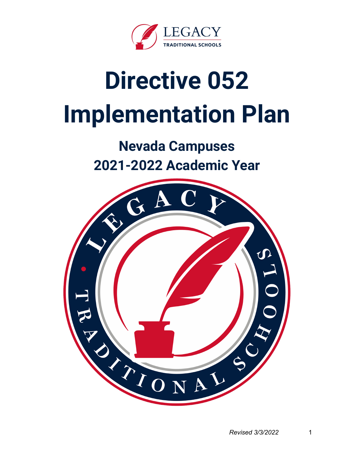

# **Directive 052 Implementation Plan**

**Nevada Campuses 2021-2022 Academic Year**

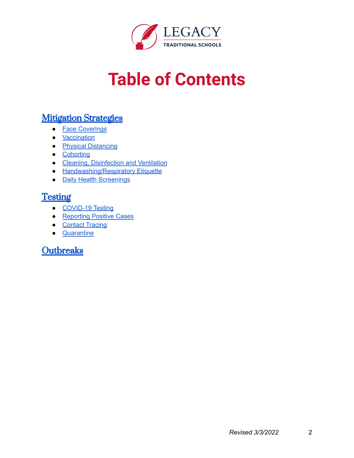

# **Table of Contents**

#### **Mitigation Strategies**

- Face Coverings
- Vaccination
- Physical Distancing
- Cohorting
- Cleaning, Disinfection and Ventilation
- Handwashing/Respiratory Etiquette
- Daily Health Screenings

#### **Testing**

- COVID-19 Testing
- Reporting Positive Cases
- Contact Tracing
- Quarantine

#### **Outbreaks**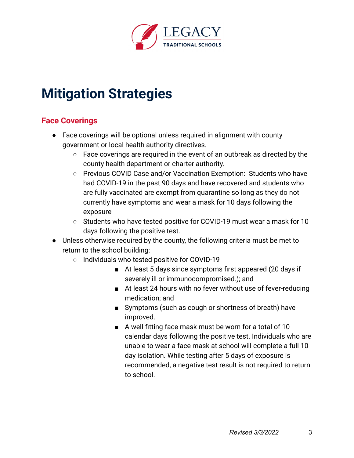

# **Mitigation Strategies**

#### **Face Coverings**

- Face coverings will be optional unless required in alignment with county government or local health authority directives.
	- Face coverings are required in the event of an outbreak as directed by the county health department or charter authority.
	- Previous COVID Case and/or Vaccination Exemption: Students who have had COVID-19 in the past 90 days and have recovered and students who are fully vaccinated are exempt from quarantine so long as they do not currently have symptoms and wear a mask for 10 days following the exposure
	- Students who have tested positive for COVID-19 must wear a mask for 10 days following the positive test.
- Unless otherwise required by the county, the following criteria must be met to return to the school building:
	- Individuals who tested positive for COVID-19
		- At least 5 days since symptoms first appeared (20 days if severely ill or immunocompromised.); and
		- At least 24 hours with no fever without use of fever-reducing medication; and
		- Symptoms (such as cough or shortness of breath) have improved.
		- A well-fitting face mask must be worn for a total of 10 calendar days following the positive test. Individuals who are unable to wear a face mask at school will complete a full 10 day isolation. While testing after 5 days of exposure is recommended, a negative test result is not required to return to school.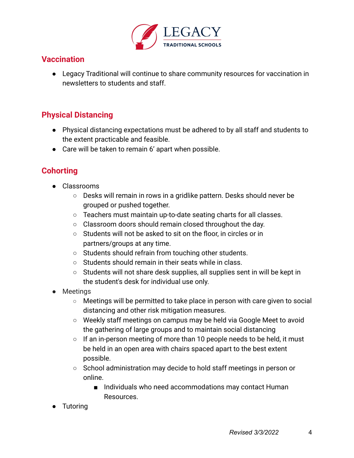

#### **Vaccination**

● Legacy Traditional will continue to share community resources for vaccination in newsletters to students and staff.

#### **Physical Distancing**

- Physical distancing expectations must be adhered to by all staff and students to the extent practicable and feasible.
- Care will be taken to remain 6' apart when possible.

#### **Cohorting**

- Classrooms
	- Desks will remain in rows in a gridlike pattern. Desks should never be grouped or pushed together.
	- Teachers must maintain up-to-date seating charts for all classes.
	- Classroom doors should remain closed throughout the day.
	- Students will not be asked to sit on the floor, in circles or in partners/groups at any time.
	- Students should refrain from touching other students.
	- Students should remain in their seats while in class.
	- Students will not share desk supplies, all supplies sent in will be kept in the student's desk for individual use only.
- Meetings
	- Meetings will be permitted to take place in person with care given to social distancing and other risk mitigation measures.
	- Weekly staff meetings on campus may be held via Google Meet to avoid the gathering of large groups and to maintain social distancing
	- If an in-person meeting of more than 10 people needs to be held, it must be held in an open area with chairs spaced apart to the best extent possible.
	- School administration may decide to hold staff meetings in person or online.
		- Individuals who need accommodations may contact Human Resources.
- **Tutoring**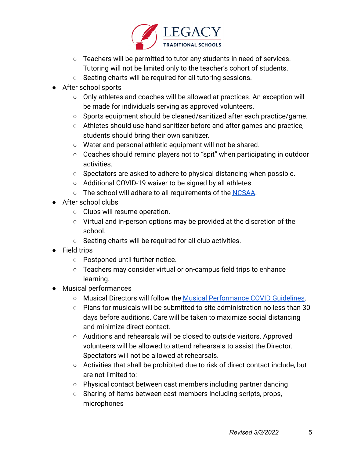

- Teachers will be permitted to tutor any students in need of services. Tutoring will not be limited only to the teacher's cohort of students.
- Seating charts will be required for all tutoring sessions.
- After school sports
	- Only athletes and coaches will be allowed at practices. An exception will be made for individuals serving as approved volunteers.
	- Sports equipment should be cleaned/sanitized after each practice/game.
	- Athletes should use hand sanitizer before and after games and practice, students should bring their own sanitizer.
	- Water and personal athletic equipment will not be shared.
	- Coaches should remind players not to "spit" when participating in outdoor activities.
	- Spectators are asked to adhere to physical distancing when possible.
	- Additional COVID-19 waiver to be signed by all athletes.
	- The school will adhere to all requirements of the NCSAA.
- After school clubs
	- Clubs will resume operation.
	- Virtual and in-person options may be provided at the discretion of the school.
	- Seating charts will be required for all club activities.
- Field trips
	- Postponed until further notice.
	- Teachers may consider virtual or on-campus field trips to enhance learning.
- Musical performances
	- Musical Directors will follow the Musical Performance COVID Guidelines.
	- $\circ$  Plans for musicals will be submitted to site administration no less than 30 days before auditions. Care will be taken to maximize social distancing and minimize direct contact.
	- Auditions and rehearsals will be closed to outside visitors. Approved volunteers will be allowed to attend rehearsals to assist the Director. Spectators will not be allowed at rehearsals.
	- Activities that shall be prohibited due to risk of direct contact include, but are not limited to:
	- Physical contact between cast members including partner dancing
	- Sharing of items between cast members including scripts, props, microphones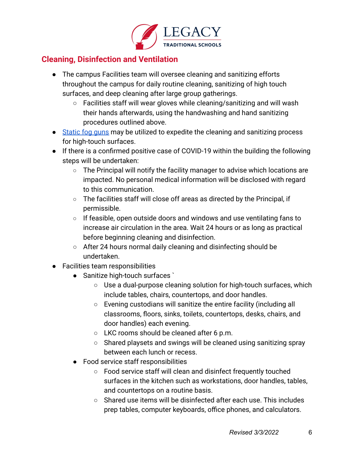

#### **Cleaning, Disinfection and Ventilation**

- The campus Facilities team will oversee cleaning and sanitizing efforts throughout the campus for daily routine cleaning, sanitizing of high touch surfaces, and deep cleaning after large group gatherings.
	- Facilities staff will wear gloves while cleaning/sanitizing and will wash their hands afterwards, using the handwashing and hand sanitizing procedures outlined above.
- Static fog guns may be utilized to expedite the cleaning and sanitizing process for high-touch surfaces.
- If there is a confirmed positive case of COVID-19 within the building the following steps will be undertaken:
	- The Principal will notify the facility manager to advise which locations are impacted. No personal medical information will be disclosed with regard to this communication.
	- The facilities staff will close off areas as directed by the Principal, if permissible.
	- If feasible, open outside doors and windows and use ventilating fans to increase air circulation in the area. Wait 24 hours or as long as practical before beginning cleaning and disinfection.
	- After 24 hours normal daily cleaning and disinfecting should be undertaken.
- Facilities team responsibilities
	- Sanitize high-touch surfaces
		- Use a dual-purpose cleaning solution for high-touch surfaces, which include tables, chairs, countertops, and door handles.
		- Evening custodians will sanitize the entire facility (including all classrooms, floors, sinks, toilets, countertops, desks, chairs, and door handles) each evening.
		- LKC rooms should be cleaned after 6 p.m.
		- Shared playsets and swings will be cleaned using sanitizing spray between each lunch or recess.
	- Food service staff responsibilities
		- Food service staff will clean and disinfect frequently touched surfaces in the kitchen such as workstations, door handles, tables, and countertops on a routine basis.
		- Shared use items will be disinfected after each use. This includes prep tables, computer keyboards, office phones, and calculators.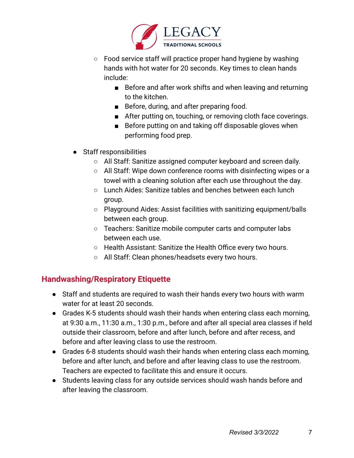

- Food service staff will practice proper hand hygiene by washing hands with hot water for 20 seconds. Key times to clean hands include:
	- Before and after work shifts and when leaving and returning to the kitchen.
	- Before, during, and after preparing food.
	- After putting on, touching, or removing cloth face coverings.
	- Before putting on and taking off disposable gloves when performing food prep.
- Staff responsibilities
	- All Staff: Sanitize assigned computer keyboard and screen daily.
	- All Staff: Wipe down conference rooms with disinfecting wipes or a towel with a cleaning solution after each use throughout the day.
	- Lunch Aides: Sanitize tables and benches between each lunch group.
	- Playground Aides: Assist facilities with sanitizing equipment/balls between each group.
	- Teachers: Sanitize mobile computer carts and computer labs between each use.
	- Health Assistant: Sanitize the Health Office every two hours.
	- All Staff: Clean phones/headsets every two hours.

#### **Handwashing/Respiratory Etiquette**

- Staff and students are required to wash their hands every two hours with warm water for at least 20 seconds.
- Grades K-5 students should wash their hands when entering class each morning, at 9:30 a.m., 11:30 a.m., 1:30 p.m., before and after all special area classes if held outside their classroom, before and after lunch, before and after recess, and before and after leaving class to use the restroom.
- Grades 6-8 students should wash their hands when entering class each morning, before and after lunch, and before and after leaving class to use the restroom. Teachers are expected to facilitate this and ensure it occurs.
- Students leaving class for any outside services should wash hands before and after leaving the classroom.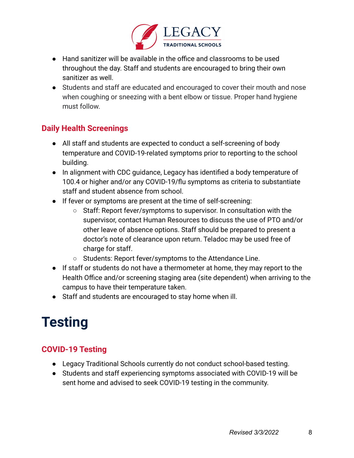

- Hand sanitizer will be available in the office and classrooms to be used throughout the day. Staff and students are encouraged to bring their own sanitizer as well.
- Students and staff are educated and encouraged to cover their mouth and nose when coughing or sneezing with a bent elbow or tissue. Proper hand hygiene must follow.

#### **Daily Health Screenings**

- All staff and students are expected to conduct a self-screening of body temperature and COVID-19-related symptoms prior to reporting to the school building.
- In alignment with CDC guidance, Legacy has identified a body temperature of 100.4 or higher and/or any COVID-19/flu symptoms as criteria to substantiate staff and student absence from school.
- If fever or symptoms are present at the time of self-screening:
	- Staff: Report fever/symptoms to supervisor. In consultation with the supervisor, contact Human Resources to discuss the use of PTO and/or other leave of absence options. Staff should be prepared to present a doctor's note of clearance upon return. Teladoc may be used free of charge for staff.
	- Students: Report fever/symptoms to the Attendance Line.
- If staff or students do not have a thermometer at home, they may report to the Health Office and/or screening staging area (site dependent) when arriving to the campus to have their temperature taken.
- Staff and students are encouraged to stay home when ill.

# **Testing**

#### **COVID-19 Testing**

- Legacy Traditional Schools currently do not conduct school-based testing.
- Students and staff experiencing symptoms associated with COVID-19 will be sent home and advised to seek COVID-19 testing in the community.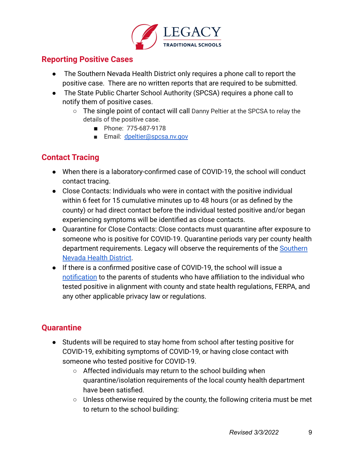

#### **Reporting Positive Cases**

- The Southern Nevada Health District only requires a phone call to report the positive case. There are no written reports that are required to be submitted.
- The State Public Charter School Authority (SPCSA) requires a phone call to notify them of positive cases.
	- The single point of contact will call Danny Peltier at the SPCSA to relay the details of the positive case.
		- Phone: 775-687-9178
		- Email: dpeltier@spcsa.nv.gov

#### **Contact Tracing**

- When there is a laboratory-confirmed case of COVID-19, the school will conduct contact tracing.
- Close Contacts: Individuals who were in contact with the positive individual within 6 feet for 15 cumulative minutes up to 48 hours (or as defined by the county) or had direct contact before the individual tested positive and/or began experiencing symptoms will be identified as close contacts.
- Quarantine for Close Contacts: Close contacts must quarantine after exposure to someone who is positive for COVID-19. Quarantine periods vary per county health department requirements. Legacy will observe the requirements of the Southern Nevada Health District.
- If there is a confirmed positive case of COVID-19, the school will issue a notification to the parents of students who have affiliation to the individual who tested positive in alignment with county and state health regulations, FERPA, and any other applicable privacy law or regulations.

#### **Quarantine**

- Students will be required to stay home from school after testing positive for COVID-19, exhibiting symptoms of COVID-19, or having close contact with someone who tested positive for COVID-19.
	- Affected individuals may return to the school building when quarantine/isolation requirements of the local county health department have been satisfied.
	- Unless otherwise required by the county, the following criteria must be met to return to the school building: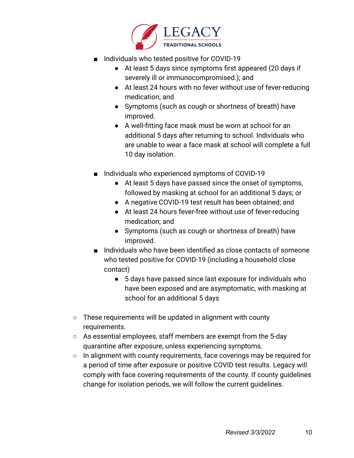

- Individuals who tested positive for COVID-19
	- At least 5 days since symptoms first appeared (20 days if severely ill or immunocompromised.); and
	- At least 24 hours with no fever without use of fever-reducing medication; and
	- Symptoms (such as cough or shortness of breath) have improved.
	- A well-fitting face mask must be worn at school for an additional 5 days after returning to school. Individuals who are unable to wear a face mask at school will complete a full 10 day isolation.
- Individuals who experienced symptoms of COVID-19
	- At least 5 days have passed since the onset of symptoms, followed by masking at school for an additional 5 days; or
	- A negative COVID-19 test result has been obtained; and
	- At least 24 hours fever-free without use of fever-reducing medication; and
	- Symptoms (such as cough or shortness of breath) have improved.
- Individuals who have been identified as close contacts of someone who tested positive for COVID-19 (including a household close contact)
	- 5 days have passed since last exposure for individuals who have been exposed and are asymptomatic, with masking at school for an additional 5 days
- $\circ$  These requirements will be updated in alignment with county requirements.
- As essential employees, staff members are exempt from the 5-day quarantine after exposure, unless experiencing symptoms.
- In alignment with county requirements, face coverings may be required for a period of time after exposure or positive COVID test results. Legacy will comply with face covering requirements of the county. If county guidelines change for isolation periods, we will follow the current guidelines.